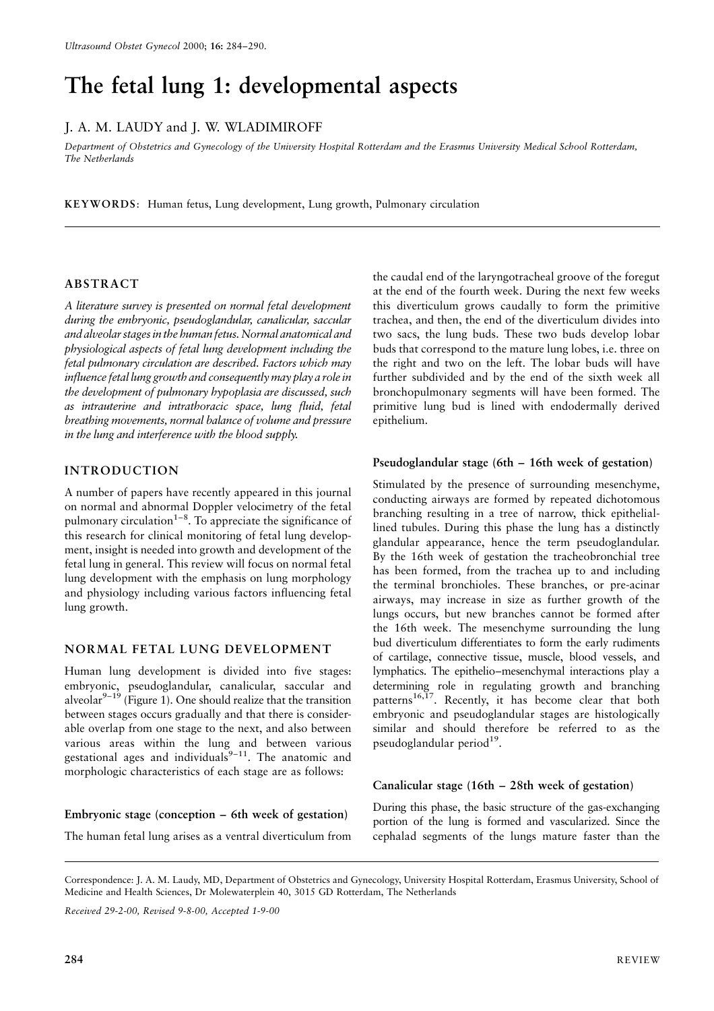# The fetal lung 1: developmental aspects

# J. A. M. LAUDY and J. W. WLADIMIROFF

Department of Obstetrics and Gynecology of the University Hospital Rotterdam and the Erasmus University Medical School Rotterdam, The Netherlands

KEYWORDS: Human fetus, Lung development, Lung growth, Pulmonary circulation

# **ABSTRACT**

A literature survey is presented on normal fetal development during the embryonic, pseudoglandular, canalicular, saccular and alveolar stages in the human fetus. Normal anatomical and physiological aspects of fetal lung development including the fetal pulmonary circulation are described. Factors which may influence fetal lung growth and consequently may play a role in the development of pulmonary hypoplasia are discussed, such as intrauterine and intrathoracic space, lung fluid, fetal breathing movements, normal balance of volume and pressure in the lung and interference with the blood supply.

# **INTRODUCTION**

A number of papers have recently appeared in this journal on normal and abnormal Doppler velocimetry of the fetal pulmonary circulation<sup>1-8</sup>. To appreciate the significance of this research for clinical monitoring of fetal lung development, insight is needed into growth and development of the fetal lung in general. This review will focus on normal fetal lung development with the emphasis on lung morphology and physiology including various factors influencing fetal lung growth.

# NORMAL FETAL LUNG DEVELOPMENT

Human lung development is divided into five stages: embryonic, pseudoglandular, canalicular, saccular and<br>alveolar<sup>9-19</sup> (Figure 1). One should realize that the transition between stages occurs gradually and that there is considerable overlap from one stage to the next, and also between various areas within the lung and between various gestational ages and individuals<sup>9-11</sup>. The anatomic and morphologic characteristics of each stage are as follows:

Embryonic stage (conception – 6th week of gestation)

The human fetal lung arises as a ventral diverticulum from

the caudal end of the laryngotracheal groove of the foregut at the end of the fourth week. During the next few weeks this diverticulum grows caudally to form the primitive trachea, and then, the end of the diverticulum divides into two sacs, the lung buds. These two buds develop lobar buds that correspond to the mature lung lobes, i.e. three on the right and two on the left. The lobar buds will have further subdivided and by the end of the sixth week all bronchopulmonary segments will have been formed. The primitive lung bud is lined with endodermally derived epithelium.

#### Pseudoglandular stage (6th – 16th week of gestation)

Stimulated by the presence of surrounding mesenchyme, conducting airways are formed by repeated dichotomous branching resulting in a tree of narrow, thick epitheliallined tubules. During this phase the lung has a distinctly glandular appearance, hence the term pseudoglandular. By the 16th week of gestation the tracheobronchial tree has been formed, from the trachea up to and including the terminal bronchioles. These branches, or pre-acinar airways, may increase in size as further growth of the lungs occurs, but new branches cannot be formed after the 16th week. The mesenchyme surrounding the lung bud diverticulum differentiates to form the early rudiments of cartilage, connective tissue, muscle, blood vessels, and lymphatics. The epithelio-mesenchymal interactions play a determining role in regulating growth and branching patterns<sup>16,17</sup>. Recently, it has become clear that both embryonic and pseudoglandular stages are histologically similar and should therefore be referred to as the pseudoglandular period<sup>19</sup>.

## Canalicular stage (16th – 28th week of gestation)

During this phase, the basic structure of the gas-exchanging portion of the lung is formed and vascularized. Since the cephalad segments of the lungs mature faster than the

Received 29-2-00, Revised 9-8-00, Accepted 1-9-00

Correspondence: J. A. M. Laudy, MD, Department of Obstetrics and Gynecology, University Hospital Rotterdam, Erasmus University, School of Medicine and Health Sciences, Dr Molewaterplein 40, 3015 GD Rotterdam, The Netherlands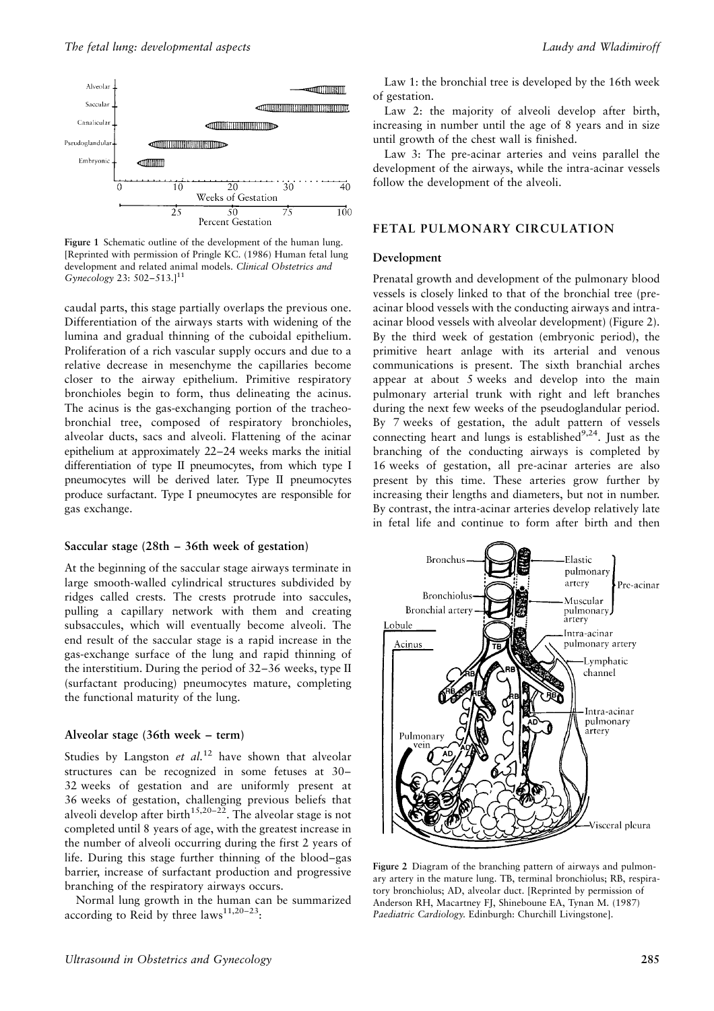

Figure 1 Schematic outline of the development of the human lung. [Reprinted with permission of Pringle KC. (1986) Human fetal lung development and related animal models. Clinical Obstetrics and Gynecology 23:  $502 - 513$ .]<sup>11</sup>

caudal parts, this stage partially overlaps the previous one. Differentiation of the airways starts with widening of the lumina and gradual thinning of the cuboidal epithelium. Proliferation of a rich vascular supply occurs and due to a relative decrease in mesenchyme the capillaries become closer to the airway epithelium. Primitive respiratory bronchioles begin to form, thus delineating the acinus. The acinus is the gas-exchanging portion of the tracheobronchial tree, composed of respiratory bronchioles, alveolar ducts, sacs and alveoli. Flattening of the acinar epithelium at approximately 22-24 weeks marks the initial differentiation of type II pneumocytes, from which type I pneumocytes will be derived later. Type II pneumocytes produce surfactant. Type I pneumocytes are responsible for gas exchange.

## Saccular stage  $(28th - 36th$  week of gestation)

At the beginning of the saccular stage airways terminate in large smooth-walled cylindrical structures subdivided by ridges called crests. The crests protrude into saccules, pulling a capillary network with them and creating subsaccules, which will eventually become alveoli. The end result of the saccular stage is a rapid increase in the gas-exchange surface of the lung and rapid thinning of the interstitium. During the period of 32–36 weeks, type II (surfactant producing) pneumocytes mature, completing the functional maturity of the lung.

## Alveolar stage (36th week – term)

Studies by Langston et  $al$ <sup>12</sup> have shown that alveolar structures can be recognized in some fetuses at 30-32 weeks of gestation and are uniformly present at 36 weeks of gestation, challenging previous beliefs that alveoli develop after birth<sup>15,20-22</sup>. The alveolar stage is not completed until 8 years of age, with the greatest increase in the number of alveoli occurring during the first 2 years of life. During this stage further thinning of the blood-gas barrier, increase of surfactant production and progressive branching of the respiratory airways occurs.

Normal lung growth in the human can be summarized according to Reid by three laws<sup>11,20-23</sup>:

Law 1: the bronchial tree is developed by the 16th week of gestation.

Law 2: the majority of alveoli develop after birth, increasing in number until the age of 8 years and in size until growth of the chest wall is finished.

Law 3: The pre-acinar arteries and veins parallel the development of the airways, while the intra-acinar vessels follow the development of the alveoli.

#### FETAL PULMONARY CIRCULATION

#### Development

Prenatal growth and development of the pulmonary blood vessels is closely linked to that of the bronchial tree (preacinar blood vessels with the conducting airways and intraacinar blood vessels with alveolar development) (Figure 2). By the third week of gestation (embryonic period), the primitive heart anlage with its arterial and venous communications is present. The sixth branchial arches appear at about 5 weeks and develop into the main pulmonary arterial trunk with right and left branches during the next few weeks of the pseudoglandular period. By 7 weeks of gestation, the adult pattern of vessels connecting heart and lungs is established<sup>9,24</sup>. Just as the branching of the conducting airways is completed by 16 weeks of gestation, all pre-acinar arteries are also present by this time. These arteries grow further by increasing their lengths and diameters, but not in number. By contrast, the intra-acinar arteries develop relatively late in fetal life and continue to form after birth and then



Figure 2 Diagram of the branching pattern of airways and pulmonary artery in the mature lung. TB, terminal bronchiolus; RB, respiratory bronchiolus; AD, alveolar duct. [Reprinted by permission of Anderson RH, Macartney FJ, Shineboune EA, Tynan M. (1987) Paediatric Cardiology. Edinburgh: Churchill Livingstone].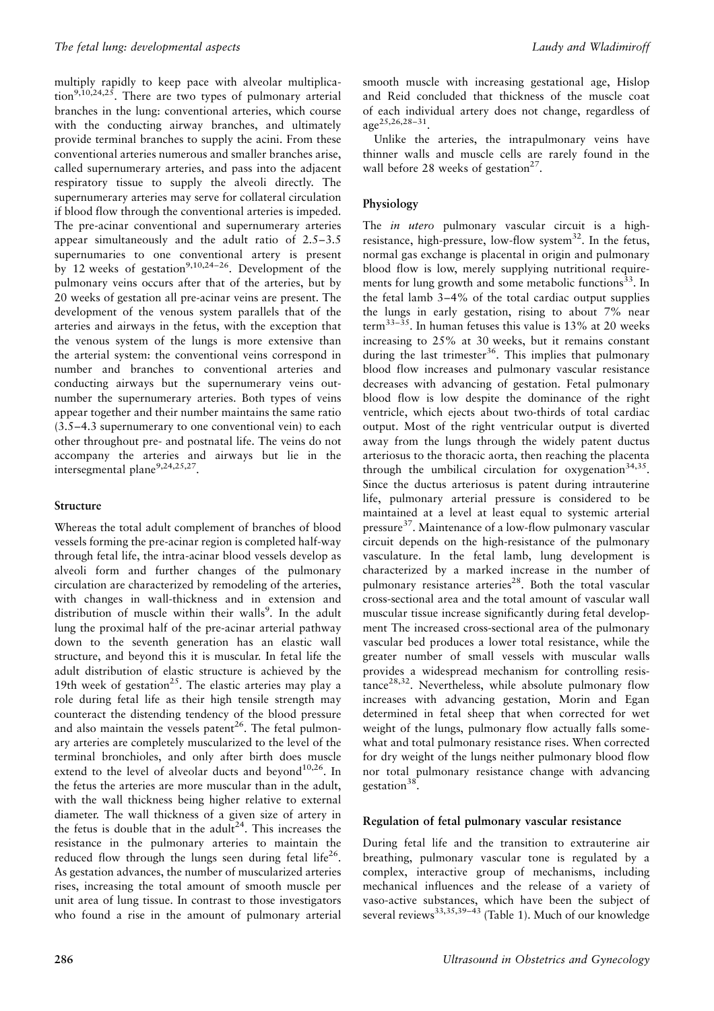multiply rapidly to keep pace with alveolar multiplica- $\[\text{tion}^{9,10,24,25}\]$ . There are two types of pulmonary arterial branches in the lung: conventional arteries, which course with the conducting airway branches, and ultimately provide terminal branches to supply the acini. From these conventional arteries numerous and smaller branches arise. called supernumerary arteries, and pass into the adiacent respiratory tissue to supply the alveoli directly. The supernumerary arteries may serve for collateral circulation if blood flow through the conventional arteries is impeded. The pre-acinar conventional and supernumerary arteries appear simultaneously and the adult ratio of  $2.5-3.5$ supernumaries to one conventional artery is present by 12 weeks of gestation<sup>9,10,24-26</sup>. Development of the pulmonary veins occurs after that of the arteries, but by 20 weeks of gestation all pre-acinar veins are present. The development of the venous system parallels that of the arteries and airways in the fetus, with the exception that the venous system of the lungs is more extensive than the arterial system: the conventional veins correspond in number and branches to conventional arteries and conducting airways but the supernumerary veins outnumber the supernumerary arteries. Both types of veins appear together and their number maintains the same ratio  $(3.5-4.3$  supernumerary to one conventional vein) to each other throughout pre- and postnatal life. The veins do not accompany the arteries and airways but lie in the intersegmental plane<sup>9,24,25,27</sup>.

# Structure

Whereas the total adult complement of branches of blood vessels forming the pre-acinar region is completed half-way through fetal life, the intra-acinar blood vessels develop as alveoli form and further changes of the pulmonary circulation are characterized by remodeling of the arteries, with changes in wall-thickness and in extension and distribution of muscle within their walls<sup>9</sup>. In the adult lung the proximal half of the pre-acinar arterial pathway down to the seventh generation has an elastic wall structure, and beyond this it is muscular. In fetal life the adult distribution of elastic structure is achieved by the 19th week of gestation<sup>25</sup>. The elastic arteries may play a role during fetal life as their high tensile strength may counteract the distending tendency of the blood pressure and also maintain the vessels patent<sup>26</sup>. The fetal pulmonary arteries are completely muscularized to the level of the terminal bronchioles, and only after birth does muscle extend to the level of alveolar ducts and beyond<sup>10,26</sup>. In the fetus the arteries are more muscular than in the adult. with the wall thickness being higher relative to external diameter. The wall thickness of a given size of artery in the fetus is double that in the adult<sup>24</sup>. This increases the resistance in the pulmonary arteries to maintain the reduced flow through the lungs seen during fetal life<sup>26</sup>. As gestation advances, the number of muscularized arteries rises, increasing the total amount of smooth muscle per unit area of lung tissue. In contrast to those investigators who found a rise in the amount of pulmonary arterial smooth muscle with increasing gestational age, Hislop and Reid concluded that thickness of the muscle coat of each individual artery does not change, regardless of  $\text{age}^{25,26,28-31}$ 

Unlike the arteries, the intrapulmonary veins have thinner walls and muscle cells are rarely found in the wall before 28 weeks of gestation<sup>27</sup>.

### Physiology

The *in utero* pulmonary vascular circuit is a highresistance, high-pressure, low-flow system<sup>32</sup>. In the fetus, normal gas exchange is placental in origin and pulmonary blood flow is low, merely supplying nutritional requirements for lung growth and some metabolic functions<sup>33</sup>. In the fetal lamb 3-4% of the total cardiac output supplies the lungs in early gestation, rising to about 7% near term<sup>33-35</sup>. In human fetuses this value is 13% at 20 weeks increasing to 25% at 30 weeks, but it remains constant during the last trimester<sup>36</sup>. This implies that pulmonary blood flow increases and pulmonary vascular resistance decreases with advancing of gestation. Fetal pulmonary blood flow is low despite the dominance of the right ventricle, which ejects about two-thirds of total cardiac output. Most of the right ventricular output is diverted away from the lungs through the widely patent ductus arteriosus to the thoracic aorta, then reaching the placenta through the umbilical circulation for oxygenation<sup>34,35</sup>. Since the ductus arteriosus is patent during intrauterine life, pulmonary arterial pressure is considered to be maintained at a level at least equal to systemic arterial pressure<sup>37</sup>. Maintenance of a low-flow pulmonary vascular circuit depends on the high-resistance of the pulmonary vasculature. In the fetal lamb, lung development is characterized by a marked increase in the number of pulmonary resistance arteries<sup>28</sup>. Both the total vascular cross-sectional area and the total amount of vascular wall muscular tissue increase significantly during fetal development The increased cross-sectional area of the pulmonary vascular bed produces a lower total resistance, while the greater number of small vessels with muscular walls provides a widespread mechanism for controlling resistance<sup>28,32</sup>. Nevertheless, while absolute pulmonary flow increases with advancing gestation, Morin and Egan determined in fetal sheep that when corrected for wet weight of the lungs, pulmonary flow actually falls somewhat and total pulmonary resistance rises. When corrected for dry weight of the lungs neither pulmonary blood flow nor total pulmonary resistance change with advancing gestation<sup>38</sup>.

#### Regulation of fetal pulmonary vascular resistance

During fetal life and the transition to extrauterine air breathing, pulmonary vascular tone is regulated by a complex, interactive group of mechanisms, including mechanical influences and the release of a variety of vaso-active substances, which have been the subject of several reviews<sup>33,35,39-43</sup> (Table 1). Much of our knowledge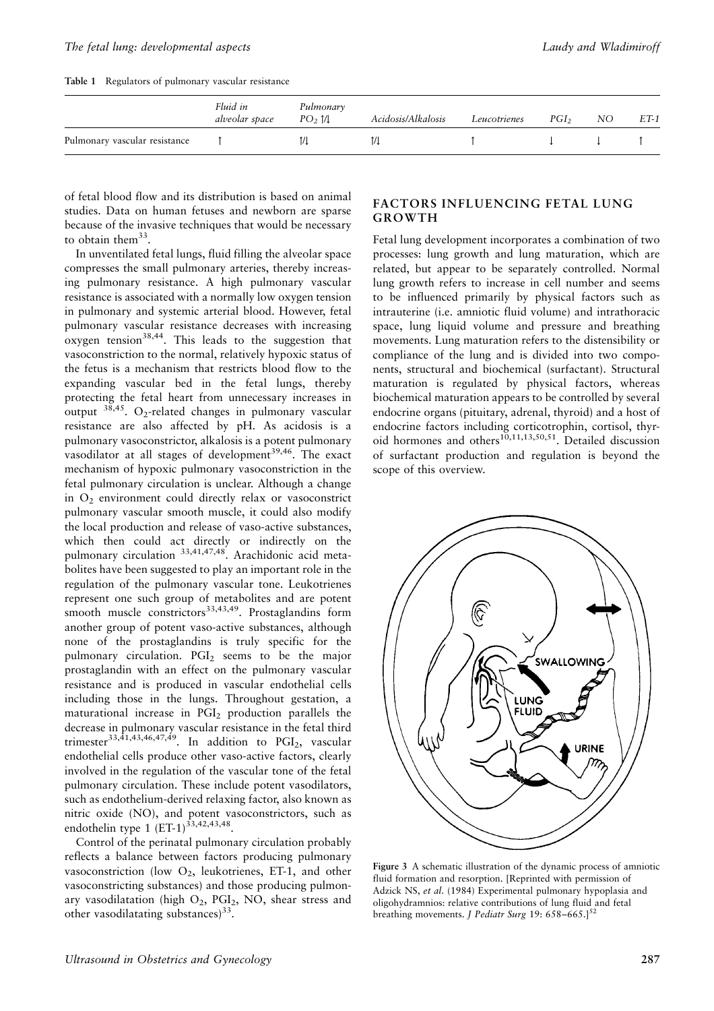Table 1 Regulators of pulmonary vascular resistance

|                               | Fluid in<br>alveolar space | Pulmonary<br>PO <sub>2</sub> 1/1 | Acidosis/Alkalosis | Leucotrienes | $PGI_2$ | NO. | $ET-1$ |
|-------------------------------|----------------------------|----------------------------------|--------------------|--------------|---------|-----|--------|
| Pulmonary vascular resistance |                            | 1/1                              |                    |              |         |     |        |

of fetal blood flow and its distribution is based on animal studies. Data on human fetuses and newborn are sparse because of the invasive techniques that would be necessary to obtain them<sup>33</sup>.

In unventilated fetal lungs, fluid filling the alveolar space compresses the small pulmonary arteries, thereby increasing pulmonary resistance. A high pulmonary vascular resistance is associated with a normally low oxygen tension in pulmonary and systemic arterial blood. However, fetal pulmonary vascular resistance decreases with increasing oxygen tension<sup>38,44</sup>. This leads to the suggestion that vasoconstriction to the normal, relatively hypoxic status of the fetus is a mechanism that restricts blood flow to the expanding vascular bed in the fetal lungs, thereby protecting the fetal heart from unnecessary increases in output <sup>38,45</sup>. O<sub>2</sub>-related changes in pulmonary vascular resistance are also affected by pH. As acidosis is a pulmonary vasoconstrictor, alkalosis is a potent pulmonary vasodilator at all stages of development<sup>39,46</sup>. The exact mechanism of hypoxic pulmonary vasoconstriction in the fetal pulmonary circulation is unclear. Although a change in  $O<sub>2</sub>$  environment could directly relax or vasoconstrict pulmonary vascular smooth muscle, it could also modify the local production and release of vaso-active substances, which then could act directly or indirectly on the pulmonary circulation 33,41,47,48. Arachidonic acid metabolites have been suggested to play an important role in the regulation of the pulmonary vascular tone. Leukotrienes represent one such group of metabolites and are potent smooth muscle constrictors<sup>33,43,49</sup>. Prostaglandins form another group of potent vaso-active substances, although none of the prostaglandins is truly specific for the pulmonary circulation. PGI<sub>2</sub> seems to be the major prostaglandin with an effect on the pulmonary vascular resistance and is produced in vascular endothelial cells including those in the lungs. Throughout gestation, a maturational increase in PGI<sub>2</sub> production parallels the decrease in pulmonary vascular resistance in the fetal third trimester<sup>33,41,43,46,47,49</sup>. In addition to  $PGI<sub>2</sub>$ , vascular endothelial cells produce other vaso-active factors, clearly involved in the regulation of the vascular tone of the fetal pulmonary circulation. These include potent vasodilators, such as endothelium-derived relaxing factor, also known as nitric oxide (NO), and potent vasoconstrictors, such as endothelin type 1  $(ET-1)^{33,42,43,48}$ .

Control of the perinatal pulmonary circulation probably reflects a balance between factors producing pulmonary vasoconstriction (low O<sub>2</sub>, leukotrienes, ET-1, and other vasoconstricting substances) and those producing pulmonary vasodilatation (high O<sub>2</sub>, PGI<sub>2</sub>, NO, shear stress and other vasodilatating substances)<sup>33</sup>.

# **FACTORS INFLUENCING FETAL LUNG GROWTH**

Fetal lung development incorporates a combination of two processes: lung growth and lung maturation, which are related, but appear to be separately controlled. Normal lung growth refers to increase in cell number and seems to be influenced primarily by physical factors such as intrauterine (i.e. amniotic fluid volume) and intrathoracic space, lung liquid volume and pressure and breathing movements. Lung maturation refers to the distensibility or compliance of the lung and is divided into two components, structural and biochemical (surfactant). Structural maturation is regulated by physical factors, whereas biochemical maturation appears to be controlled by several endocrine organs (pituitary, adrenal, thyroid) and a host of endocrine factors including corticotrophin, cortisol, thyroid hormones and others<sup>10,11,13,50,51</sup>. Detailed discussion of surfactant production and regulation is beyond the scope of this overview.



Figure 3 A schematic illustration of the dynamic process of amniotic fluid formation and resorption. [Reprinted with permission of Adzick NS, et al. (1984) Experimental pulmonary hypoplasia and oligohydramnios: relative contributions of lung fluid and fetal breathing movements. J Pediatr Surg 19: 658-665.]<sup>52</sup>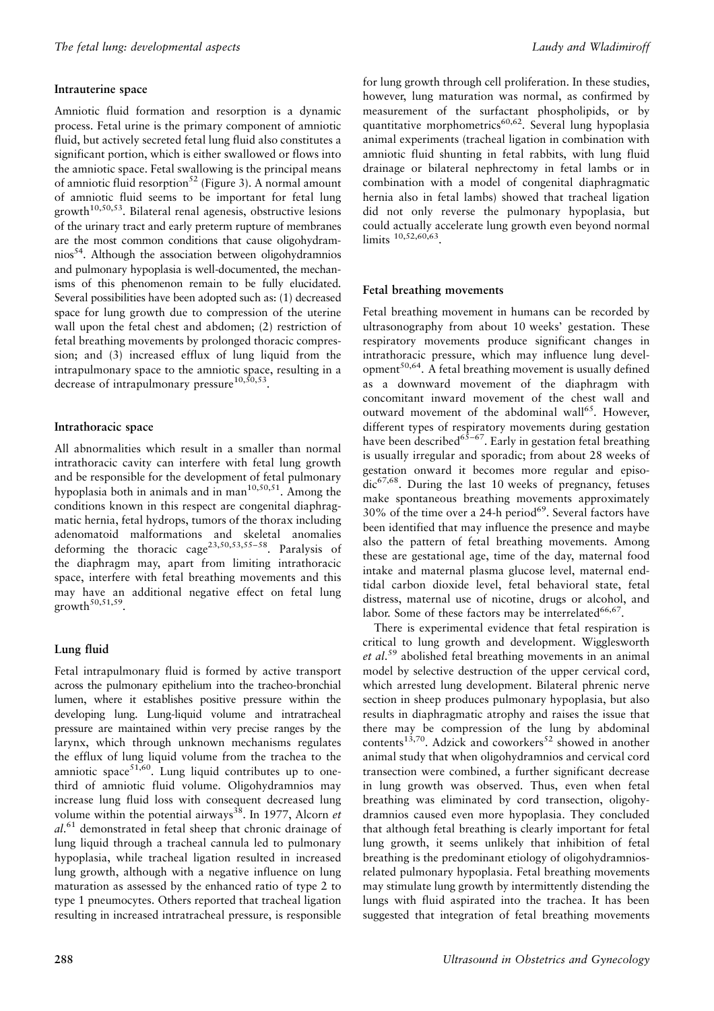#### Intrauterine space

Amniotic fluid formation and resorption is a dynamic process. Fetal urine is the primary component of amniotic fluid, but actively secreted fetal lung fluid also constitutes a significant portion, which is either swallowed or flows into the amniotic space. Fetal swallowing is the principal means of amniotic fluid resorption<sup>52</sup> (Figure 3). A normal amount of amniotic fluid seems to be important for fetal lung  $growth^{10,50,53}$ . Bilateral renal agenesis, obstructive lesions of the urinary tract and early preterm rupture of membranes are the most common conditions that cause oligohydramnios<sup>54</sup>. Although the association between oligohydramnios and pulmonary hypoplasia is well-documented, the mechanisms of this phenomenon remain to be fully elucidated. Several possibilities have been adopted such as: (1) decreased space for lung growth due to compression of the uterine wall upon the fetal chest and abdomen; (2) restriction of fetal breathing movements by prolonged thoracic compression; and (3) increased efflux of lung liquid from the intrapulmonary space to the amniotic space, resulting in a decrease of intrapulmonary pressure<sup>10,50,53</sup>.

### Intrathoracic space

All abnormalities which result in a smaller than normal intrathoracic cavity can interfere with fetal lung growth and be responsible for the development of fetal pulmonary hypoplasia both in animals and in man<sup>10,50,51</sup>. Among the conditions known in this respect are congenital diaphragmatic hernia, fetal hydrops, tumors of the thorax including adenomatoid malformations and skeletal anomalies deforming the thoracic cage<sup>23,50,53,55-58</sup>. Paralysis of the diaphragm may, apart from limiting intrathoracic space, interfere with fetal breathing movements and this may have an additional negative effect on fetal lung growth<sup>50,51,59</sup>.

#### Lung fluid

Fetal intrapulmonary fluid is formed by active transport across the pulmonary epithelium into the tracheo-bronchial lumen, where it establishes positive pressure within the developing lung. Lung-liquid volume and intratracheal pressure are maintained within very precise ranges by the larynx, which through unknown mechanisms regulates the efflux of lung liquid volume from the trachea to the amniotic space<sup>51,60</sup>. Lung liquid contributes up to onethird of amniotic fluid volume. Oligohydramnios may increase lung fluid loss with consequent decreased lung volume within the potential airways<sup>38</sup>. In 1977, Alcorn et  $al.^{61}$  demonstrated in fetal sheep that chronic drainage of lung liquid through a tracheal cannula led to pulmonary hypoplasia, while tracheal ligation resulted in increased lung growth, although with a negative influence on lung maturation as assessed by the enhanced ratio of type 2 to type 1 pneumocytes. Others reported that tracheal ligation resulting in increased intratracheal pressure, is responsible

for lung growth through cell proliferation. In these studies, however, lung maturation was normal, as confirmed by measurement of the surfactant phospholipids, or by quantitative morphometrics<sup>60,62</sup>. Several lung hypoplasia animal experiments (tracheal ligation in combination with amniotic fluid shunting in fetal rabbits, with lung fluid drainage or bilateral nephrectomy in fetal lambs or in combination with a model of congenital diaphragmatic hernia also in fetal lambs) showed that tracheal ligation did not only reverse the pulmonary hypoplasia, but could actually accelerate lung growth even beyond normal limits  $10,52,60,63$ 

#### Fetal breathing movements

Fetal breathing movement in humans can be recorded by ultrasonography from about 10 weeks' gestation. These respiratory movements produce significant changes in intrathoracic pressure, which may influence lung development<sup>50,64</sup>. A fetal breathing movement is usually defined as a downward movement of the diaphragm with concomitant inward movement of the chest wall and outward movement of the abdominal wall<sup>65</sup>. However, different types of respiratory movements during gestation have been described  $65-67$ . Early in gestation fetal breathing is usually irregular and sporadic; from about 28 weeks of gestation onward it becomes more regular and episo $dic^{67,68}$ . During the last 10 weeks of pregnancy, fetuses make spontaneous breathing movements approximately 30% of the time over a 24-h period<sup>69</sup>. Several factors have been identified that may influence the presence and maybe also the pattern of fetal breathing movements. Among these are gestational age, time of the day, maternal food intake and maternal plasma glucose level, maternal endtidal carbon dioxide level, fetal behavioral state, fetal distress, maternal use of nicotine, drugs or alcohol, and labor. Some of these factors may be interrelated<sup>66,67</sup>.

There is experimental evidence that fetal respiration is critical to lung growth and development. Wigglesworth et al.<sup>59</sup> abolished fetal breathing movements in an animal model by selective destruction of the upper cervical cord, which arrested lung development. Bilateral phrenic nerve section in sheep produces pulmonary hypoplasia, but also results in diaphragmatic atrophy and raises the issue that there may be compression of the lung by abdominal contents<sup>13,70</sup>. Adzick and coworkers<sup>52</sup> showed in another animal study that when oligohydramnios and cervical cord transection were combined, a further significant decrease in lung growth was observed. Thus, even when fetal breathing was eliminated by cord transection, oligohydramnios caused even more hypoplasia. They concluded that although fetal breathing is clearly important for fetal lung growth, it seems unlikely that inhibition of fetal breathing is the predominant etiology of oligohydramniosrelated pulmonary hypoplasia. Fetal breathing movements may stimulate lung growth by intermittently distending the lungs with fluid aspirated into the trachea. It has been suggested that integration of fetal breathing movements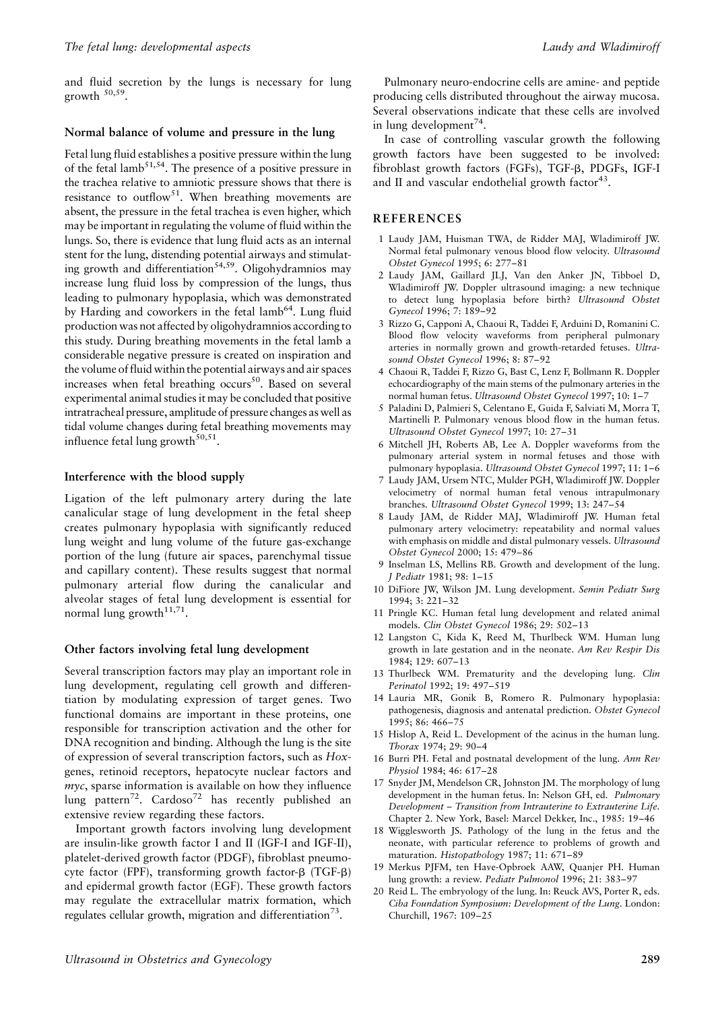and fluid secretion by the lungs is necessary for lung growth  $50,59$ .

#### Normal balance of volume and pressure in the lung

Fetal lung fluid establishes a positive pressure within the lung of the fetal lamb<sup>51,54</sup>. The presence of a positive pressure in the trachea relative to amniotic pressure shows that there is resistance to outflow<sup>51</sup>. When breathing movements are absent, the pressure in the fetal trachea is even higher, which may be important in regulating the volume of fluid within the lungs. So, there is evidence that lung fluid acts as an internal stent for the lung, distending potential airways and stimulating growth and differentiation<sup>54,59</sup>. Oligohydramnios may increase lung fluid loss by compression of the lungs, thus leading to pulmonary hypoplasia, which was demonstrated by Harding and coworkers in the fetal lamb<sup>64</sup>. Lung fluid production was not affected by oligohydramnios according to this study. During breathing movements in the fetal lamb a considerable negative pressure is created on inspiration and the volume of fluid within the potential airways and air spaces increases when fetal breathing occurs<sup>50</sup>. Based on several experimental animal studies it may be concluded that positive intratracheal pressure, amplitude of pressure changes as well as tidal volume changes during fetal breathing movements may influence fetal lung growth<sup>50,51</sup>.

#### Interference with the blood supply

Ligation of the left pulmonary artery during the late canalicular stage of lung development in the fetal sheep creates pulmonary hypoplasia with significantly reduced lung weight and lung volume of the future gas-exchange portion of the lung (future air spaces, parenchymal tissue and capillary content). These results suggest that normal pulmonary arterial flow during the canalicular and alveolar stages of fetal lung development is essential for normal lung growth<sup>11,71</sup>.

#### Other factors involving fetal lung development

Several transcription factors may play an important role in lung development, regulating cell growth and differentiation by modulating expression of target genes. Two functional domains are important in these proteins, one responsible for transcription activation and the other for DNA recognition and binding. Although the lung is the site of expression of several transcription factors, such as Hoxgenes, retinoid receptors, hepatocyte nuclear factors and  $mvc$ , sparse information is available on how they influence lung pattern<sup>72</sup>. Cardoso<sup>72</sup> has recently published an extensive review regarding these factors.

Important growth factors involving lung development are insulin-like growth factor I and II (IGF-I and IGF-II), platelet-derived growth factor (PDGF), fibroblast pneumocyte factor (FPF), transforming growth factor-β (TGF-β) and epidermal growth factor (EGF). These growth factors may regulate the extracellular matrix formation, which regulates cellular growth, migration and differentiation<sup>73</sup>.

Pulmonary neuro-endocrine cells are amine- and peptide producing cells distributed throughout the airway mucosa. Several observations indicate that these cells are involved in lung development<sup>74</sup>.

In case of controlling vascular growth the following growth factors have been suggested to be involved: fibroblast growth factors (FGFs), TGF-B, PDGFs, IGF-I and II and vascular endothelial growth factor<sup>43</sup>.

#### **REFERENCES**

- 1 Laudy JAM, Huisman TWA, de Ridder MAJ, Wladimiroff JW. Normal fetal pulmonary venous blood flow velocity. Ultrasound Obstet Gynecol 1995; 6: 277-81
- 2 Laudy JAM, Gaillard JLJ, Van den Anker JN, Tibboel D, Wladimiroff JW. Doppler ultrasound imaging: a new technique to detect lung hypoplasia before birth? Ultrasound Obstet Gynecol 1996: 7: 189-92
- 3 Rizzo G, Capponi A, Chaoui R, Taddei F, Arduini D, Romanini C. Blood flow velocity waveforms from peripheral pulmonary arteries in normally grown and growth-retarded fetuses. Ultrasound Obstet Gynecol 1996; 8: 87-92
- 4 Chaoui R, Taddei F, Rizzo G, Bast C, Lenz F, Bollmann R. Doppler echocardiography of the main stems of the pulmonary arteries in the normal human fetus. Ultrasound Obstet Gynecol 1997; 10: 1-7
- 5 Paladini D, Palmieri S, Celentano E, Guida F, Salviati M, Morra T, Martinelli P. Pulmonary venous blood flow in the human fetus. Ultrasound Obstet Gynecol 1997; 10: 27-31
- 6 Mitchell JH, Roberts AB, Lee A. Doppler waveforms from the pulmonary arterial system in normal fetuses and those with pulmonary hypoplasia. Ultrasound Obstet Gynecol 1997; 11: 1-6
- 7 Laudy JAM, Ursem NTC, Mulder PGH, Wladimiroff JW. Doppler velocimetry of normal human fetal venous intrapulmonary branches. Ultrasound Obstet Gynecol 1999; 13: 247-54
- 8 Laudy JAM, de Ridder MAJ, Wladimiroff JW. Human fetal pulmonary artery velocimetry: repeatability and normal values with emphasis on middle and distal pulmonary vessels. Ultrasound Obstet Gynecol 2000; 15: 479-86
- 9 Inselman LS, Mellins RB. Growth and development of the lung. J Pediatr 1981; 98: 1-15
- 10 DiFiore JW, Wilson JM. Lung development. Semin Pediatr Surg  $1994.3.221 - 32$
- 11 Pringle KC. Human fetal lung development and related animal models. Clin Obstet Gynecol 1986; 29: 502-13
- 12 Langston C, Kida K, Reed M, Thurlbeck WM. Human lung growth in late gestation and in the neonate. Am Rev Respir Dis 1984: 129: 607-13
- 13 Thurlbeck WM. Prematurity and the developing lung. Clin Perinatol 1992; 19: 497-519
- 14 Lauria MR, Gonik B, Romero R. Pulmonary hypoplasia: pathogenesis, diagnosis and antenatal prediction. Obstet Gynecol 1995; 86: 466-75
- 15 Hislop A, Reid L. Development of the acinus in the human lung. Thorax 1974; 29: 90-4
- 16 Burri PH. Fetal and postnatal development of the lung. Ann Rev Physiol 1984; 46: 617-28
- Snyder JM, Mendelson CR, Johnston JM. The morphology of lung 17 development in the human fetus. In: Nelson GH, ed. Pulmonary Development - Transition from Intrauterine to Extrauterine Life. Chapter 2. New York, Basel: Marcel Dekker, Inc., 1985: 19-46
- 18 Wigglesworth JS. Pathology of the lung in the fetus and the neonate, with particular reference to problems of growth and maturation. Histopathology 1987; 11: 671-89
- 19 Merkus PJFM, ten Have-Opbroek AAW, Quanjer PH. Human lung growth: a review. Pediatr Pulmonol 1996; 21: 383-97
- $20$ Reid L. The embryology of the lung. In: Reuck AVS, Porter R, eds. Ciba Foundation Symposium: Development of the Lung. London: Churchill, 1967: 109-25